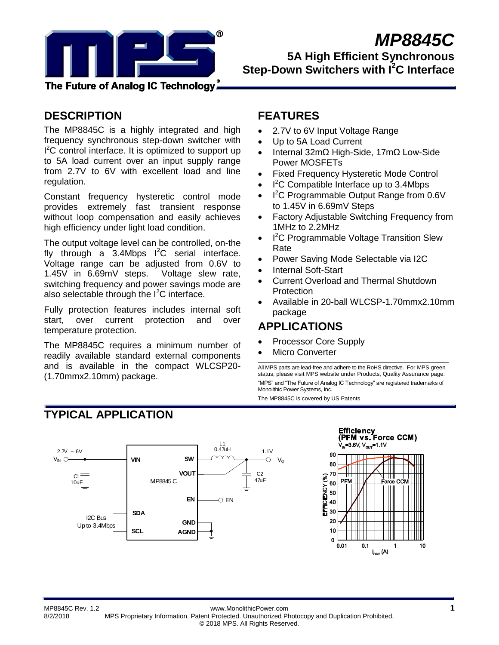

# *MP8845C* **5A High Efficient Synchronous Step-Down Switchers with I<sup>2</sup>C Interface**

The Future of Analog IC Technology,

## **DESCRIPTION**

The MP8845C is a highly integrated and high frequency synchronous step-down switcher with  $I<sup>2</sup>C$  control interface. It is optimized to support up to 5A load current over an input supply range from 2.7V to 6V with excellent load and line regulation.

Constant frequency hysteretic control mode provides extremely fast transient response without loop compensation and easily achieves high efficiency under light load condition.

The output voltage level can be controlled, on-the fly through a  $3.4Mbps$  I<sup>2</sup>C serial interface. Voltage range can be adjusted from 0.6V to 1.45V in 6.69mV steps. Voltage slew rate, switching frequency and power savings mode are also selectable through the  $I^2C$  interface.

Fully protection features includes internal soft start, over current protection and over temperature protection.

The MP8845C requires a minimum number of readily available standard external components and is available in the compact WLCSP20- (1.70mmx2.10mm) package.

### **FEATURES**

- 2.7V to 6V Input Voltage Range
- Up to 5A Load Current
- Internal 32mΩ High-Side, 17mΩ Low-Side Power MOSFETs
- Fixed Frequency Hysteretic Mode Control
- $I^2C$  Compatible Interface up to 3.4Mbps
- I<sup>2</sup>C Programmable Output Range from 0.6V to 1.45V in 6.69mV Steps
- Factory Adjustable Switching Frequency from 1MHz to 2.2MHz
- I<sup>2</sup>C Programmable Voltage Transition Slew Rate
- Power Saving Mode Selectable via I2C
- Internal Soft-Start
- Current Overload and Thermal Shutdown Protection
- Available in 20-ball WLCSP-1.70mmx2.10mm package

# **APPLICATIONS**

- Processor Core Supply
- Micro Converter

All MPS parts are lead-free and adhere to the RoHS directive. For MPS green status, please visit MPS website under Products, Quality Assurance page. "MPS" and "The Future of Analog IC Technology" are registered trademarks of Monolithic Power Systems, Inc.

The MP8845C is covered by US Patents

# **TYPICAL APPLICATION**





MP8845C Rev. 1.2 www.MonolithicPower.com **1** 8/2/2018 MPS Proprietary Information. Patent Protected. Unauthorized Photocopy and Duplication Prohibited. © 2018 MPS. All Rights Reserved.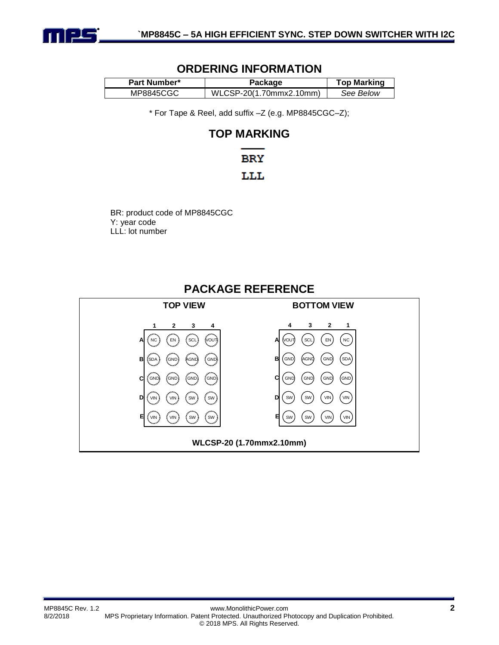

### **ORDERING INFORMATION**

| <b>Part Number*</b> | Package                 | <b>Top Marking</b> |
|---------------------|-------------------------|--------------------|
| MP8845CGC           | WLCSP-20(1.70mmx2.10mm) | See Below          |

\* For Tape & Reel, add suffix –Z (e.g. MP8845CGC–Z);

### **TOP MARKING**

# **BRY** LLL.

BR: product code of MP8845CGC Y: year code LLL: lot number

#### **A B C D E 4 3 2 1**  $\left(\begin{matrix} 0 & \text{vol} \end{matrix}\right)$   $\left(\begin{matrix} 0 & \text{vol} \end{matrix}\right)$   $\left(\begin{matrix} 0 & \text{vol} \end{matrix}\right)$ (GND) (AGND) (SDA)  $\begin{pmatrix} 6ND \end{pmatrix}$   $\begin{pmatrix} 6ND \end{pmatrix}$   $\begin{pmatrix} 6ND \end{pmatrix}$  $\text{SW}$   $\text{SW}$   $\text{VIN}$   $\text{VIN}$  $sw)$   $(sw)$   $(vin)$   $(vin)$ **BOTTOM VIEW A B C D E 1 2 3 4** NC) (EN) (SCL) (VOUT S<br>
GND GND GND GND GND VIN } {SW } {SW VIN § {VIN § {SW } {SW **TOP VIEW WLCSP-20 (1.70mmx2.10mm)**

### **PACKAGE REFERENCE**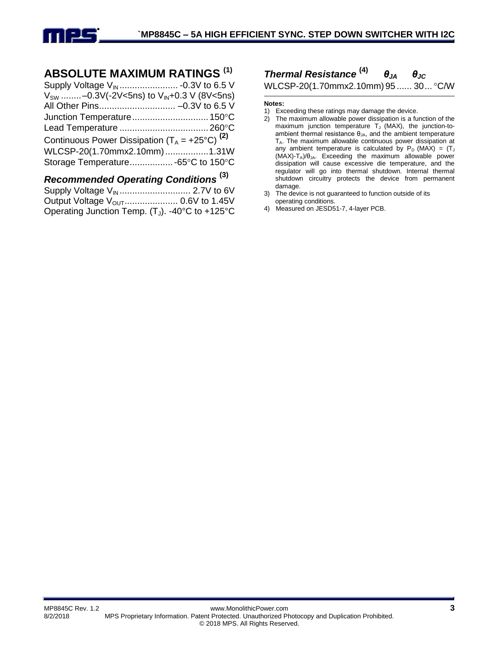

### **ABSOLUTE MAXIMUM RATINGS (1)**

| $V_{SW}$ -0.3V(-2V<5ns) to $V_{IN}$ +0.3 V (8V<5ns)       |  |
|-----------------------------------------------------------|--|
|                                                           |  |
|                                                           |  |
|                                                           |  |
| Continuous Power Dissipation $(T_A = +25^{\circ}C)^{(2)}$ |  |
| WLCSP-20(1.70mmx2.10mm)1.31W                              |  |
| Storage Temperature -65°C to 150°C                        |  |
|                                                           |  |

### *Recommended Operating Conditions* **(3)**

| Operating Junction Temp. $(T_J)$ . -40°C to +125°C |  |
|----------------------------------------------------|--|

*Thermal Resistance* **(4)** *θJA θJC*

WLCSP-20(1.70mmx2.10mm) 95 ...... 30... C/W

#### **Notes:**

- 1) Exceeding these ratings may damage the device.
- 2) The maximum allowable power dissipation is a function of the maximum junction temperature  $T_J$  (MAX), the junction-toambient thermal resistance  $\theta_{JA}$ , and the ambient temperature TA. The maximum allowable continuous power dissipation at any ambient temperature is calculated by  $P_D$  (MAX) = (T<sub>J</sub> (MAX)-TA)/θJA. Exceeding the maximum allowable power dissipation will cause excessive die temperature, and the regulator will go into thermal shutdown. Internal thermal shutdown circuitry protects the device from permanent damage.
- 3) The device is not guaranteed to function outside of its operating conditions.
- 4) Measured on JESD51-7, 4-layer PCB.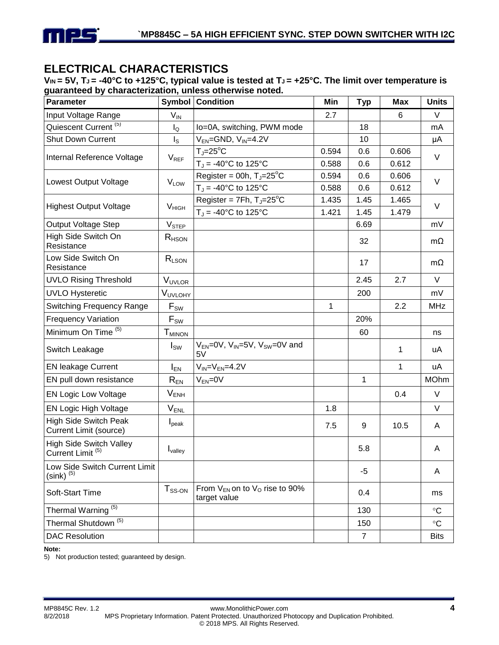

## **ELECTRICAL CHARACTERISTICS**

**VIN = 5V, TJ = -40°C to +125°C, typical value is tested at TJ = +25°C. The limit over temperature is guaranteed by characterization, unless otherwise noted.**

| Parameter                                                     |                            | <b>Symbol Condition</b>                                          | Min   | <b>Typ</b>     | <b>Max</b>   | <b>Units</b> |
|---------------------------------------------------------------|----------------------------|------------------------------------------------------------------|-------|----------------|--------------|--------------|
| Input Voltage Range                                           | $V_{IN}$                   |                                                                  | 2.7   |                | 6            | $\vee$       |
| Quiescent Current <sup>(5)</sup>                              | $I_{\mathsf{Q}}$           | lo=0A, switching, PWM mode                                       |       | 18             |              | mA           |
| <b>Shut Down Current</b>                                      | $I_{\rm S}$                | $V_{EN}$ =GND, $V_{IN}$ =4.2V                                    |       | 10             |              | μA           |
| Internal Reference Voltage                                    | $V_{REF}$                  | $T_{\text{J}} = 25^{\circ}C$                                     | 0.594 | 0.6            | 0.606        | $\vee$       |
|                                                               |                            | $T_J = -40$ °C to 125°C                                          | 0.588 | 0.6            | 0.612        |              |
| <b>Lowest Output Voltage</b>                                  | $V_{LOW}$                  | Register = 00h, $T_J = 25$ °C                                    | 0.594 | 0.6            | 0.606        | $\vee$       |
|                                                               |                            | $T_{\rm J}$ = -40°C to 125°C                                     | 0.588 | 0.6            | 0.612        |              |
| <b>Highest Output Voltage</b>                                 | V <sub>HIGH</sub>          | Register = $7Fh$ , T <sub>J</sub> =25 <sup>°</sup> C             | 1.435 | 1.45           | 1.465        | $\vee$       |
|                                                               |                            | $T_J = -40$ °C to 125°C                                          | 1.421 | 1.45           | 1.479        |              |
| <b>Output Voltage Step</b>                                    | V <sub>STEP</sub>          |                                                                  |       | 6.69           |              | mV           |
| High Side Switch On<br>Resistance                             | $R$ <sub>HSON</sub>        |                                                                  |       | 32             |              | $m\Omega$    |
| Low Side Switch On<br>Resistance                              | $R_{LSON}$                 |                                                                  |       | 17             |              | mΩ           |
| <b>UVLO Rising Threshold</b>                                  | VUVLOR                     |                                                                  |       | 2.45           | 2.7          | $\vee$       |
| <b>UVLO Hysteretic</b>                                        | <b>VUVLOHY</b>             |                                                                  |       | 200            |              | mV           |
| <b>Switching Frequency Range</b>                              | $\mathsf{F}_{\mathsf{SW}}$ |                                                                  | 1     |                | 2.2          | <b>MHz</b>   |
| <b>Frequency Variation</b>                                    | $\mathsf{F}_{\mathsf{SW}}$ |                                                                  |       | 20%            |              |              |
| Minimum On Time <sup>(5)</sup>                                | <b>T</b> <sub>MINON</sub>  |                                                                  |       | 60             |              | ns           |
| Switch Leakage                                                | $I_{SW}$                   | $V_{EN}$ =0V, V <sub>IN</sub> =5V, V <sub>SW</sub> =0V and<br>5V |       |                | $\mathbf{1}$ | uA           |
| <b>EN leakage Current</b>                                     | $I_{EN}$                   | $V_{IN} = V_{EN} = 4.2V$                                         |       |                | $\mathbf{1}$ | uA           |
| EN pull down resistance                                       | $R_{EN}$                   | $V_{EN} = 0V$                                                    |       | 1              |              | <b>MOhm</b>  |
| <b>EN Logic Low Voltage</b>                                   | $V_{ENH}$                  |                                                                  |       |                | 0.4          | $\vee$       |
| EN Logic High Voltage                                         | $V_{ENL}$                  |                                                                  | 1.8   |                |              | V            |
| <b>High Side Switch Peak</b><br><b>Current Limit (source)</b> | $I_{\rm peak}$             |                                                                  | 7.5   | 9              | 10.5         | A            |
| High Side Switch Valley<br>Current Limit <sup>(5)</sup>       | <b>I</b> <sub>valley</sub> |                                                                  |       | 5.8            |              | A            |
| Low Side Switch Current Limit<br>$(sink)$ <sup>(5)</sup>      |                            |                                                                  |       | $-5$           |              | A            |
| Soft-Start Time                                               | $T_{SS-ON}$                | From $V_{EN}$ on to $V_{O}$ rise to 90%<br>target value          |       | 0.4            |              | ms           |
| Thermal Warning <sup>(5)</sup>                                |                            |                                                                  |       | 130            |              | $\circ$ C    |
| Thermal Shutdown <sup>(5)</sup>                               |                            |                                                                  |       | 150            |              | $\circ$ C    |
| <b>DAC Resolution</b>                                         |                            |                                                                  |       | $\overline{7}$ |              | <b>Bits</b>  |

**Note:**

5) Not production tested; guaranteed by design.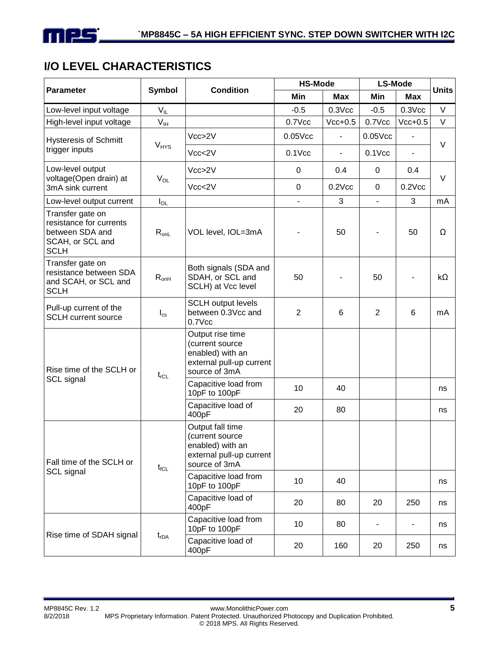# **I/O LEVEL CHARACTERISTICS**

|                                                                                                   | Symbol<br><b>Condition</b> |                                                                                                      | <b>HS-Mode</b>           |                          | <b>LS-Mode</b> | <b>Units</b>                 |        |
|---------------------------------------------------------------------------------------------------|----------------------------|------------------------------------------------------------------------------------------------------|--------------------------|--------------------------|----------------|------------------------------|--------|
| <b>Parameter</b>                                                                                  |                            |                                                                                                      | Min                      | Max                      | Min            | <b>Max</b>                   |        |
| Low-level input voltage                                                                           | $V_{IL}$                   |                                                                                                      | $-0.5$                   | $0.3$ Vcc                | $-0.5$         | $0.3$ Vcc                    | $\vee$ |
| High-level input voltage                                                                          | V <sub>IH</sub>            |                                                                                                      | $0.7$ Vcc                | $Vcc+0.5$                | 0.7Vcc         | $Vcc+0.5$                    | $\vee$ |
| <b>Hysteresis of Schmitt</b>                                                                      | <b>V<sub>HYS</sub></b>     | Vcc>2V                                                                                               | $0.05$ Vcc               | $\overline{\phantom{a}}$ | $0.05$ Vcc     | $\qquad \qquad \blacksquare$ | V      |
| trigger inputs                                                                                    |                            | Vcc<2V                                                                                               | $0.1$ Vcc                | $\overline{\phantom{0}}$ | $0.1$ Vcc      | $\blacksquare$               |        |
| Low-level output<br>voltage(Open drain) at                                                        | $V_{OL}$                   | Vcc>2V                                                                                               | 0                        | 0.4                      | 0              | 0.4                          | $\vee$ |
| 3mA sink current                                                                                  |                            | Vcc<2V                                                                                               | 0                        | $0.2$ $Vcc$              | $\Omega$       | $0.2$ $Vcc$                  |        |
| Low-level output current                                                                          | $I_{OL}$                   |                                                                                                      | $\overline{\phantom{0}}$ | 3                        | ä,             | 3                            | mA     |
| Transfer gate on<br>resistance for currents<br>between SDA and<br>SCAH, or SCL and<br><b>SCLH</b> | $R_{onL}$                  | VOL level, IOL=3mA                                                                                   |                          | 50                       |                | 50                           | Ω      |
| Transfer gate on<br>resistance between SDA<br>and SCAH, or SCL and<br><b>SCLH</b>                 | $R_{onH}$                  | Both signals (SDA and<br>SDAH, or SCL and<br>SCLH) at Vcc level                                      | 50                       |                          | 50             |                              | kΩ     |
| Pull-up current of the<br><b>SCLH</b> current source                                              | $\mathsf{I}_{\text{cs}}$   | <b>SCLH output levels</b><br>between 0.3Vcc and<br>$0.7$ Vcc                                         | $\overline{2}$           | 6                        | 2              | 6                            | mA     |
| Rise time of the SCLH or                                                                          | $t_{rCL}$                  | Output rise time<br>(current source<br>enabled) with an<br>external pull-up current<br>source of 3mA |                          |                          |                |                              |        |
| <b>SCL</b> signal                                                                                 |                            | Capacitive load from<br>10pF to 100pF                                                                | 10                       | 40                       |                |                              | ns     |
|                                                                                                   |                            | Capacitive load of<br>400pF                                                                          | 20                       | 80                       |                |                              | ns     |
| Fall time of the SCLH or                                                                          | $t_{fCL}$                  | Output fall time<br>(current source<br>enabled) with an<br>external pull-up current<br>source of 3mA |                          |                          |                |                              |        |
| SCL signal                                                                                        |                            | Capacitive load from<br>10pF to 100pF                                                                | 10                       | 40                       |                |                              | ns     |
|                                                                                                   |                            | Capacitive load of<br>400pF                                                                          | 20                       | 80                       | 20             | 250                          | ns     |
|                                                                                                   |                            | Capacitive load from<br>10pF to 100pF                                                                | 10                       | 80                       | ۰              | ۰                            | ns     |
| Rise time of SDAH signal                                                                          | $t_{rDA}$                  | Capacitive load of<br>400pF                                                                          | 20                       | 160                      | 20             | 250                          | ns     |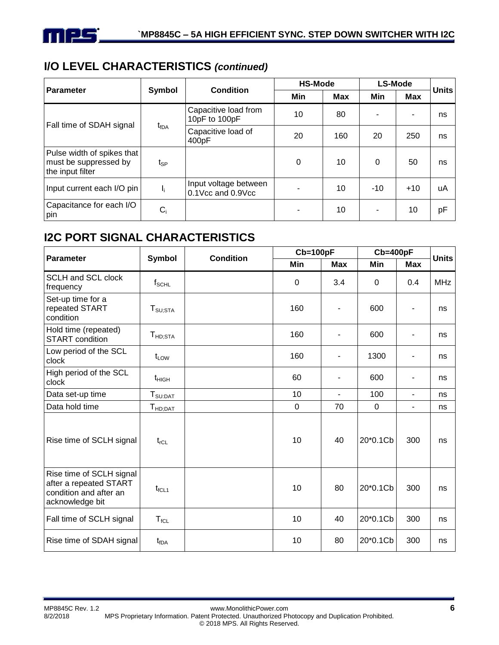# **I/O LEVEL CHARACTERISTICS** *(continued)*

| <b>Parameter</b>                                                        |                  | <b>Condition</b>                           | <b>HS-Mode</b> |            | <b>LS-Mode</b> |            | Units |
|-------------------------------------------------------------------------|------------------|--------------------------------------------|----------------|------------|----------------|------------|-------|
|                                                                         | Symbol           |                                            | Min            | <b>Max</b> | Min            | <b>Max</b> |       |
|                                                                         |                  | Capacitive load from<br>10pF to 100pF      | 10             | 80         |                |            | ns    |
| Fall time of SDAH signal                                                | t <sub>fDA</sub> | Capacitive load of<br>400pF                | 20             | 160        | 20             | 250        | ns    |
| Pulse width of spikes that<br>must be suppressed by<br>the input filter | t <sub>SP</sub>  |                                            | 0              | 10         | $\Omega$       | 50         | ns    |
| Input current each I/O pin                                              | Ιĵ.              | Input voltage between<br>0.1Vcc and 0.9Vcc |                | 10         | $-10$          | $+10$      | uA    |
| Capacitance for each I/O<br>pin                                         | $C_i$            |                                            |                | 10         | ۰              | 10         | рF    |

## **I2C PORT SIGNAL CHARACTERISTICS**

| <b>Parameter</b>                                                                                | <b>Symbol</b>                   | <b>Condition</b> | $Cb=100pF$  |                          | $Cb=400pF$ |                          | <b>Units</b> |
|-------------------------------------------------------------------------------------------------|---------------------------------|------------------|-------------|--------------------------|------------|--------------------------|--------------|
|                                                                                                 |                                 |                  | Min         | <b>Max</b>               | Min        | <b>Max</b>               |              |
| <b>SCLH and SCL clock</b><br>frequency                                                          | $f_{\scriptstyle\text{SCHL}}$   |                  | 0           | 3.4                      | 0          | 0.4                      | <b>MHz</b>   |
| Set-up time for a<br>repeated START<br>condition                                                | ${\sf T}_{{\sf SU};\text{STA}}$ |                  | 160         | $\blacksquare$           | 600        |                          | ns           |
| Hold time (repeated)<br><b>START</b> condition                                                  | $T_{HD;STA}$                    |                  | 160         | $\overline{\phantom{a}}$ | 600        | $\blacksquare$           | ns           |
| Low period of the SCL<br>clock                                                                  | $t_{LOW}$                       |                  | 160         |                          | 1300       | ä,                       | ns           |
| High period of the SCL<br>clock                                                                 | $t_{HIGH}$                      |                  | 60          |                          | 600        |                          | ns           |
| Data set-up time                                                                                | $T_{\text{SU:DAT}}$             |                  | 10          | $\blacksquare$           | 100        | $\overline{\phantom{a}}$ | ns           |
| Data hold time                                                                                  | T <sub>HD;DAT</sub>             |                  | $\mathbf 0$ | 70                       | 0          | $\overline{\phantom{a}}$ | ns           |
| Rise time of SCLH signal                                                                        | $t_{rCL}$                       |                  | 10          | 40                       | 20*0.1Cb   | 300                      | ns           |
| Rise time of SCLH signal<br>after a repeated START<br>condition and after an<br>acknowledge bit | $t_{fCL1}$                      |                  | 10          | 80                       | 20*0.1Cb   | 300                      | ns           |
| Fall time of SCLH signal                                                                        | $T_{fCL}$                       |                  | 10          | 40                       | 20*0.1Cb   | 300                      | ns           |
| Rise time of SDAH signal                                                                        | $t_{fDA}$                       |                  | 10          | 80                       | 20*0.1Cb   | 300                      | ns           |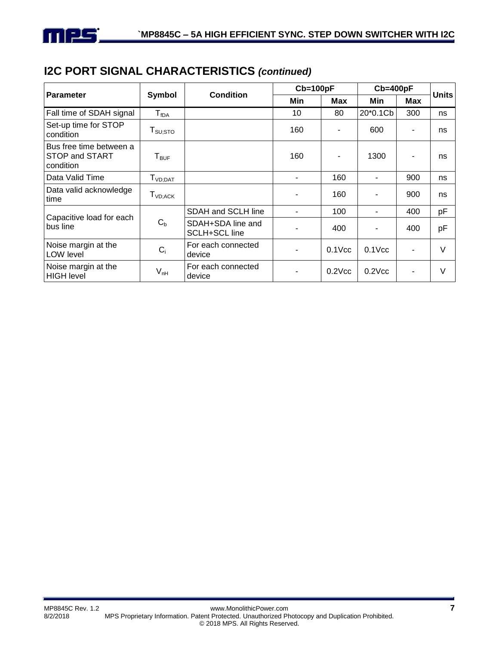

# **I2C PORT SIGNAL CHARACTERISTICS** *(continued)*

|                                                        |                                |                                    | $Cb=100pF$ |             | $Cb=400pF$     |     |              |
|--------------------------------------------------------|--------------------------------|------------------------------------|------------|-------------|----------------|-----|--------------|
| l Parameter                                            | Symbol                         | <b>Condition</b>                   | Min        | Max         | Min            | Max | <b>Units</b> |
| Fall time of SDAH signal                               | $T_{fDA}$                      |                                    | 10         | 80          | 20*0.1Cb       | 300 | ns           |
| Set-up time for STOP<br>condition                      | $T_{\mathsf{SU};\mathsf{STO}}$ |                                    | 160        |             | 600            |     | ns           |
| Bus free time between a<br>STOP and START<br>condition | $\mathsf{T}_{\mathsf{BUF}}$    |                                    | 160        |             | 1300           |     | ns           |
| Data Valid Time                                        | $T_{VD;DAT}$                   |                                    |            | 160         | $\blacksquare$ | 900 | ns           |
| Data valid acknowledge<br>time                         | $T_{VD;ACK}$                   |                                    |            | 160         |                | 900 | ns           |
|                                                        |                                | SDAH and SCLH line                 |            | 100         |                | 400 | pF           |
| Capacitive load for each<br>bus line                   | $C_{b}$                        | SDAH+SDA line and<br>SCLH+SCL line |            | 400         |                | 400 | рF           |
| Noise margin at the<br>LOW level                       | $C_i$                          | For each connected<br>device       |            | $0.1$ Vcc   | $0.1$ Vcc      |     | $\vee$       |
| Noise margin at the<br>HIGH level                      | $V_{nH}$                       | For each connected<br>device       |            | $0.2$ $Vcc$ | $0.2$ $Vcc$    |     | $\vee$       |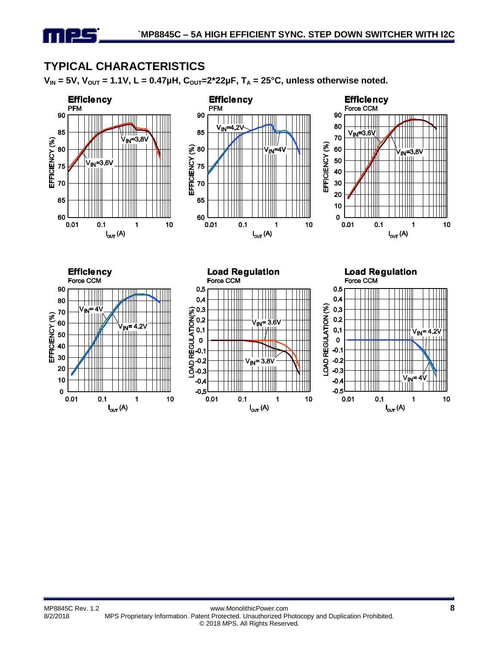### **TYPICAL CHARACTERISTICS**

mps

 $V_{IN}$  = 5V,  $V_{OUT}$  = 1.1V, L = 0.47µH,  $C_{OUT}$ =2\*22µF,  $T_A$  = 25°C, unless otherwise noted.

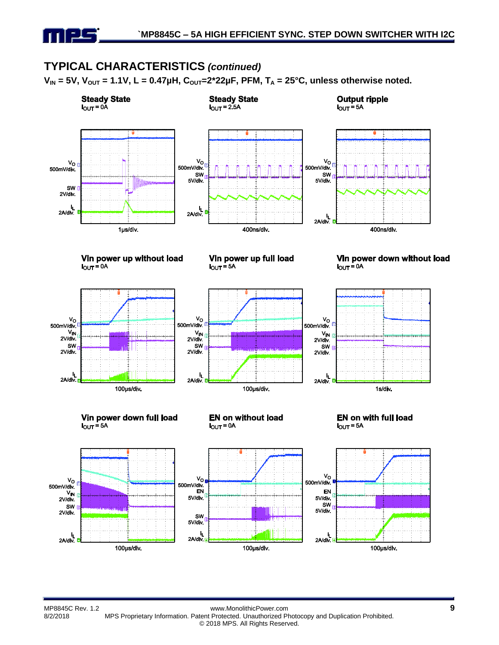### **TYPICAL CHARACTERISTICS** *(continued)*

mpc

 $V_{IN}$  = 5V,  $V_{OUT}$  = 1.1V, L = 0.47µH,  $C_{OUT}$ =2\*22µF, PFM,  $T_A$  = 25°C, unless otherwise noted.

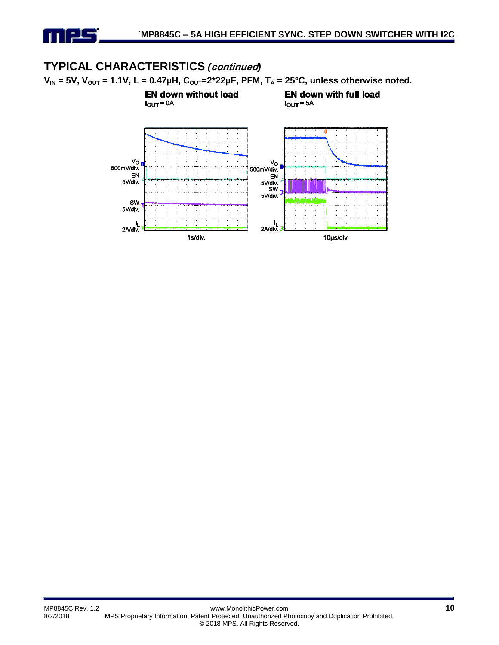# **TYPICAL CHARACTERISTICS** *(***continued***)*

n 125

 $V_{IN}$  = 5V,  $V_{OUT}$  = 1.1V, L = 0.47µH,  $C_{OUT}$ =2\*22µF, PFM,  $T_A$  = 25°C, unless otherwise noted.

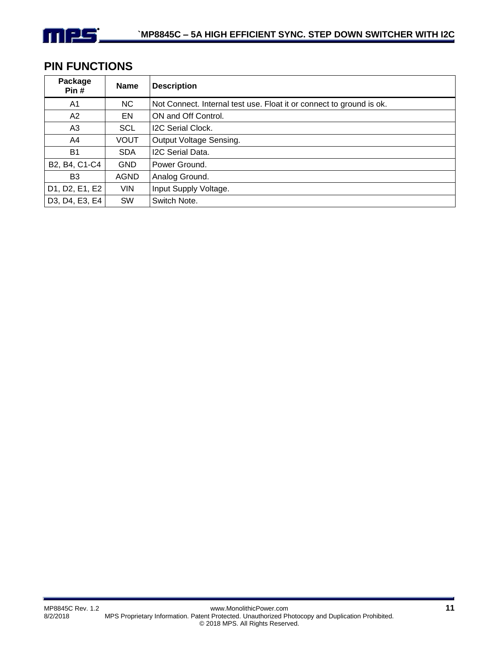

### **PIN FUNCTIONS**

| Package<br>Pin# | <b>Name</b> | <b>Description</b>                                                   |  |  |  |  |  |  |
|-----------------|-------------|----------------------------------------------------------------------|--|--|--|--|--|--|
| A <sub>1</sub>  | <b>NC</b>   | Not Connect. Internal test use. Float it or connect to ground is ok. |  |  |  |  |  |  |
| A2              | EN          | ON and Off Control.                                                  |  |  |  |  |  |  |
| A3              | <b>SCL</b>  | <b>I2C Serial Clock.</b>                                             |  |  |  |  |  |  |
| A4              | <b>VOUT</b> | Output Voltage Sensing.                                              |  |  |  |  |  |  |
| <b>B1</b>       | <b>SDA</b>  | I2C Serial Data.                                                     |  |  |  |  |  |  |
| B2, B4, C1-C4   | <b>GND</b>  | Power Ground.                                                        |  |  |  |  |  |  |
| B <sub>3</sub>  | AGND        | Analog Ground.                                                       |  |  |  |  |  |  |
| D1, D2, E1, E2  | <b>VIN</b>  | Input Supply Voltage.                                                |  |  |  |  |  |  |
| D3, D4, E3, E4  | <b>SW</b>   | Switch Note.                                                         |  |  |  |  |  |  |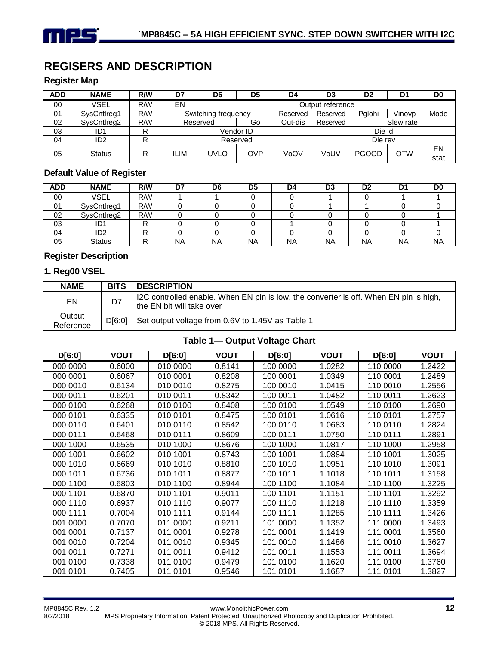

# **REGISERS AND DESCRIPTION**

### **Register Map**

| <b>ADD</b> | <b>NAME</b>     | R/W | D7          | D6                  | D <sub>5</sub> | D4       | D3       | D <sub>2</sub> | D1         | D <sub>0</sub> |  |
|------------|-----------------|-----|-------------|---------------------|----------------|----------|----------|----------------|------------|----------------|--|
| 00         | VSEL            | R/W | EN          | Output reference    |                |          |          |                |            |                |  |
| 01         | SysCntIreg1     | R/M |             | Switching frequency |                | Reserved | Reserved | Palohi         | Vinovp     | Mode           |  |
| 02         | SysCntlreg2     | R/W |             | Reserved            | Go             | Out-dis  | Reserved |                | Slew rate  |                |  |
| 03         | ID1             | R   |             |                     | Vendor ID      |          |          | Die id         |            |                |  |
| 04         | ID <sub>2</sub> | R   |             |                     | Reserved       |          |          | Die rev        |            |                |  |
| 05         | <b>Status</b>   | R   | <b>ILIM</b> | UVLO                | OVP            | VoOV     | VoUV     | <b>PGOOD</b>   | <b>OTW</b> | EN<br>stat     |  |

#### **Default Value of Register**

| <b>ADD</b> | <b>NAME</b>   | R/W    | D7        | D6        | D <sub>5</sub> | D4        | D3        | D <sub>2</sub> | D1        | D <sub>0</sub> |
|------------|---------------|--------|-----------|-----------|----------------|-----------|-----------|----------------|-----------|----------------|
| 00         | <b>VSEL</b>   | R/W    |           |           |                |           |           |                |           |                |
| 01         | SysCntIreg1   | R/W    |           |           |                |           |           |                |           |                |
| 02         | SysCntIreg2   | R/W    |           |           |                |           |           |                |           |                |
| 03         | ID1           | D<br>r |           |           |                |           |           |                |           |                |
| 04         | ID2           | רז     |           |           |                |           |           |                |           |                |
| 05         | <b>Status</b> | D      | <b>NA</b> | <b>NA</b> | <b>NA</b>      | <b>NA</b> | <b>NA</b> | NA             | <b>NA</b> | <b>NA</b>      |

#### **Register Description**

### **1. Reg00 VSEL**

| <b>NAME</b>         | <b>BITS</b> | <b>DESCRIPTION</b>                                                                                                 |
|---------------------|-------------|--------------------------------------------------------------------------------------------------------------------|
| EN                  | D7          | I2C controlled enable. When EN pin is low, the converter is off. When EN pin is high,<br>the EN bit will take over |
| Output<br>Reference | D[6:0]      | Set output voltage from 0.6V to 1.45V as Table 1                                                                   |

### **Table 1— Output Voltage Chart**

| D[6:0]   | <b>VOUT</b> | D[6:0]   | <b>VOUT</b> | D[6:0]   | <b>VOUT</b> | D[6:0]      | <b>VOUT</b> |
|----------|-------------|----------|-------------|----------|-------------|-------------|-------------|
| 000 0000 | 0.6000      | 010 0000 | 0.8141      | 100 0000 | 1.0282      | 110 0000    | 1.2422      |
| 000 0001 | 0.6067      | 010 0001 | 0.8208      | 100 0001 | 1.0349      | 110 0001    | 1.2489      |
| 000 0010 | 0.6134      | 010 0010 | 0.8275      | 100 0010 | 1.0415      | 110 0010    | 1.2556      |
| 000 0011 | 0.6201      | 010 0011 | 0.8342      | 100 0011 | 1.0482      | 110 0011    | 1.2623      |
| 000 0100 | 0.6268      | 010 0100 | 0.8408      | 100 0100 | 1.0549      | 110 0100    | 1.2690      |
| 000 0101 | 0.6335      | 010 0101 | 0.8475      | 100 0101 | 1.0616      | 110 0101    | 1.2757      |
| 000 0110 | 0.6401      | 010 0110 | 0.8542      | 100 0110 | 1.0683      | 110 0110    | 1.2824      |
| 000 0111 | 0.6468      | 010 0111 | 0.8609      | 100 0111 | 1.0750      | 110 0111    | 1.2891      |
| 000 1000 | 0.6535      | 010 1000 | 0.8676      | 100 1000 | 1.0817      | 110 1000    | 1.2958      |
| 000 1001 | 0.6602      | 010 1001 | 0.8743      | 100 1001 | 1.0884      | 110 1001    | 1.3025      |
| 000 1010 | 0.6669      | 010 1010 | 0.8810      | 100 1010 | 1.0951      | 110 1010    | 1.3091      |
| 000 1011 | 0.6736      | 010 1011 | 0.8877      | 100 1011 | 1.1018      | 110 1011    | 1.3158      |
| 000 1100 | 0.6803      | 010 1100 | 0.8944      | 100 1100 | 1.1084      | 110 1100    | 1.3225      |
| 000 1101 | 0.6870      | 010 1101 | 0.9011      | 100 1101 | 1.1151      | 110 1101    | 1.3292      |
| 000 1110 | 0.6937      | 010 1110 | 0.9077      | 100 1110 | 1.1218      | 110 1110    | 1.3359      |
| 000 1111 | 0.7004      | 010 1111 | 0.9144      | 100 1111 | 1.1285      | 110 1111    | 1.3426      |
| 001 0000 | 0.7070      | 011 0000 | 0.9211      | 101 0000 | 1.1352      | 111 0000    | 1.3493      |
| 001 0001 | 0.7137      | 011 0001 | 0.9278      | 101 0001 | 1.1419      | 0001<br>111 | 1.3560      |
| 001 0010 | 0.7204      | 011 0010 | 0.9345      | 101 0010 | 1.1486      | 0010<br>111 | 1.3627      |
| 001 0011 | 0.7271      | 011 0011 | 0.9412      | 101 0011 | 1.1553      | 111 0011    | 1.3694      |
| 001 0100 | 0.7338      | 011 0100 | 0.9479      | 101 0100 | 1.1620      | 111 0100    | 1.3760      |
| 001 0101 | 0.7405      | 011 0101 | 0.9546      | 101 0101 | 1.1687      | 111 0101    | 1.3827      |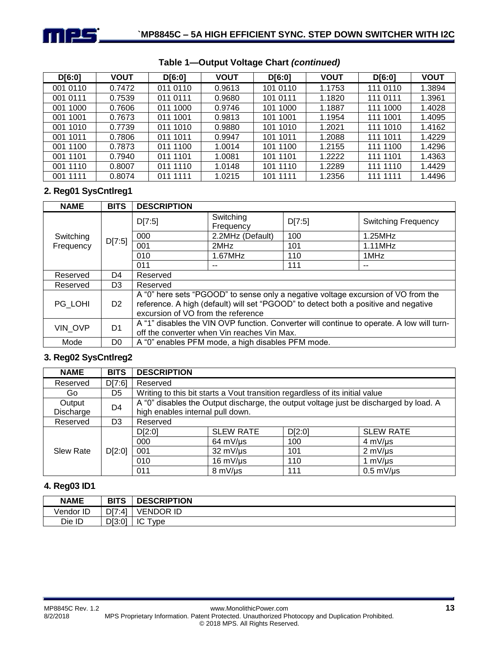

| D[6:0]   | <b>VOUT</b> | D[6:0]   | <b>VOUT</b> | D[6:0]   | <b>VOUT</b> | D[6:0]   | <b>VOUT</b> |
|----------|-------------|----------|-------------|----------|-------------|----------|-------------|
| 001 0110 | 0.7472      | 011 0110 | 0.9613      | 101 0110 | 1.1753      | 111 0110 | 1.3894      |
| 001 0111 | 0.7539      | 011 0111 | 0.9680      | 101 0111 | 1.1820      | 111 0111 | 1.3961      |
| 001 1000 | 0.7606      | 011 1000 | 0.9746      | 101 1000 | 1.1887      | 111 1000 | 1.4028      |
| 001 1001 | 0.7673      | 011 1001 | 0.9813      | 101 1001 | 1.1954      | 111 1001 | 1.4095      |
| 001 1010 | 0.7739      | 011 1010 | 0.9880      | 101 1010 | 1.2021      | 111 1010 | 1.4162      |
| 001 1011 | 0.7806      | 011 1011 | 0.9947      | 101 1011 | 1.2088      | 111 1011 | 1.4229      |
| 001 1100 | 0.7873      | 011 1100 | 1.0014      | 101 1100 | 1.2155      | 111 1100 | 1.4296      |
| 001 1101 | 0.7940      | 011 1101 | 1.0081      | 101 1101 | 1.2222      | 111 1101 | 1.4363      |
| 001 1110 | 0.8007      | 011 1110 | 1.0148      | 101 1110 | 1.2289      | 111 1110 | 1.4429      |
| 001 1111 | 0.8074      | 011 1111 | 1.0215      | 101 1111 | 1.2356      | 111 1111 | 1.4496      |

### **Table 1—Output Voltage Chart** *(continued)*

### **2. Reg01 SysCntlreg1**

| <b>NAME</b> | <b>BITS</b>    | <b>DESCRIPTION</b>                                                                                                                                                                                             |                                                   |        |                            |  |
|-------------|----------------|----------------------------------------------------------------------------------------------------------------------------------------------------------------------------------------------------------------|---------------------------------------------------|--------|----------------------------|--|
|             |                | D[7:5]                                                                                                                                                                                                         | Switching<br>Frequency                            | D[7:5] | <b>Switching Frequency</b> |  |
| Switching   | D[7:5]         | 000                                                                                                                                                                                                            | 2.2MHz (Default)                                  | 100    | $1.25$ MHz                 |  |
| Frequency   |                | 001                                                                                                                                                                                                            | 2MHz                                              | 101    | 1.11MHz                    |  |
|             |                | 010                                                                                                                                                                                                            | $1.67$ MHz                                        | 110    | 1MHz                       |  |
|             |                | 011                                                                                                                                                                                                            | --                                                | 111    | --                         |  |
| Reserved    | D4             | Reserved                                                                                                                                                                                                       |                                                   |        |                            |  |
| Reserved    | D <sub>3</sub> | Reserved                                                                                                                                                                                                       |                                                   |        |                            |  |
| PG LOHI     | D <sub>2</sub> | A "0" here sets "PGOOD" to sense only a negative voltage excursion of VO from the<br>reference. A high (default) will set "PGOOD" to detect both a positive and negative<br>excursion of VO from the reference |                                                   |        |                            |  |
| VIN OVP     | D <sub>1</sub> | A "1" disables the VIN OVP function. Converter will continue to operate. A low will turn-<br>off the converter when Vin reaches Vin Max.                                                                       |                                                   |        |                            |  |
| Mode        | D <sub>0</sub> |                                                                                                                                                                                                                | A "0" enables PFM mode, a high disables PFM mode. |        |                            |  |

### **3. Reg02 SysCntlreg2**

| <b>NAME</b>      | <b>BITS</b>    | <b>DESCRIPTION</b>                                                           |                                                                                       |        |                            |  |
|------------------|----------------|------------------------------------------------------------------------------|---------------------------------------------------------------------------------------|--------|----------------------------|--|
| Reserved         | D[7:6]         | Reserved                                                                     |                                                                                       |        |                            |  |
| Go.              | D <sub>5</sub> | Writing to this bit starts a Vout transition regardless of its initial value |                                                                                       |        |                            |  |
| Output           | D <sub>4</sub> |                                                                              | A "0" disables the Output discharge, the output voltage just be discharged by load. A |        |                            |  |
| Discharge        |                | high enables internal pull down.                                             |                                                                                       |        |                            |  |
| Reserved         | D <sub>3</sub> | Reserved                                                                     |                                                                                       |        |                            |  |
|                  |                | D[2:0]                                                                       | <b>SLEW RATE</b>                                                                      | D[2:0] | <b>SLEW RATE</b>           |  |
|                  |                | 000                                                                          | $64$ mV/ $\mu$ s                                                                      | 100    | $4 \text{ mV/}\mu\text{s}$ |  |
| <b>Slew Rate</b> | D[2:0]         | 001                                                                          | 32 mV/us                                                                              | 101    | $2 \text{ mV/}\mu\text{s}$ |  |
|                  |                | 010                                                                          | $16 \text{ mV/}\mu\text{s}$                                                           | 110    | 1 $\text{mV/}\mu\text{s}$  |  |
|                  |                | 011                                                                          | 8 mV/µs                                                                               | 111    | $0.5$ mV/ $\mu$ s          |  |

### **4. Reg03 ID1**

| <b>NAME</b> | <b>BITS</b> | <b>DESCRIPTION</b>                              |
|-------------|-------------|-------------------------------------------------|
| Vendor ID   | DI7<br>'4'  | ID<br>$-$<br><b>JDOR</b><br>'ENI                |
| Die ID      | D[3:0]      | $\overline{\phantom{a}}$<br>$\sim$<br>vpe<br>טו |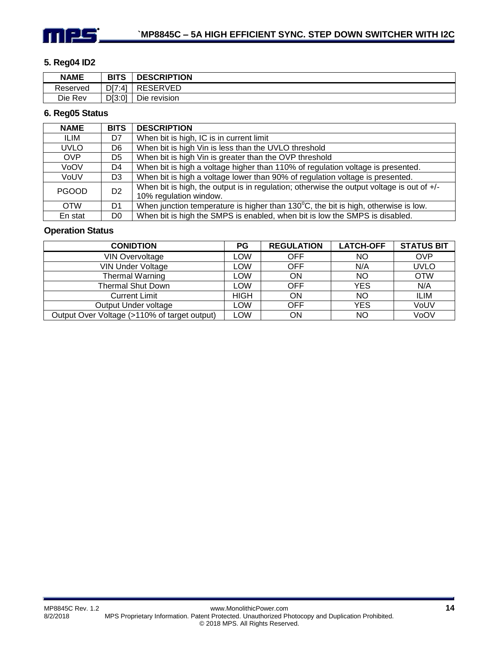

### **5. Reg04 ID2**

| <b>NAME</b> | <b>BITS</b> | <b>DESCRIPTION</b> |
|-------------|-------------|--------------------|
| Reserved    | DT:41       | <b>RESERVED</b>    |
| Die Rev     | D[3:0]      | Die<br>revision    |

### **6. Reg05 Status**

| <b>NAME</b>  | <b>BITS</b>    | <b>DESCRIPTION</b>                                                                                                  |
|--------------|----------------|---------------------------------------------------------------------------------------------------------------------|
| ILIM         | D7             | When bit is high, IC is in current limit                                                                            |
| <b>UVLO</b>  | D6             | When bit is high Vin is less than the UVLO threshold                                                                |
| <b>OVP</b>   | D5             | When bit is high Vin is greater than the OVP threshold                                                              |
| VoOV         | D4             | When bit is high a voltage higher than 110% of regulation voltage is presented.                                     |
| VoUV         | D <sub>3</sub> | When bit is high a voltage lower than 90% of regulation voltage is presented.                                       |
| <b>PGOOD</b> | D <sub>2</sub> | When bit is high, the output is in regulation; otherwise the output voltage is out of +/-<br>10% regulation window. |
| <b>OTW</b>   | D <sub>1</sub> | When junction temperature is higher than $130^{\circ}$ C, the bit is high, otherwise is low.                        |
| En stat      | D <sub>0</sub> | When bit is high the SMPS is enabled, when bit is low the SMPS is disabled.                                         |

### **Operation Status**

| <b>CONIDTION</b>                             | РG   | <b>REGULATION</b> | <b>LATCH-OFF</b> | <b>STATUS BIT</b> |
|----------------------------------------------|------|-------------------|------------------|-------------------|
| <b>VIN Overvoltage</b>                       | LOW  | OFF               | NO.              | <b>OVP</b>        |
| <b>VIN Under Voltage</b>                     | LOW  | <b>OFF</b>        | N/A              | <b>UVLO</b>       |
| <b>Thermal Warning</b>                       | LOW  | ON                | NO.              | <b>OTW</b>        |
| <b>Thermal Shut Down</b>                     | LOW  | <b>OFF</b>        | YES              | N/A               |
| <b>Current Limit</b>                         | HIGH | ON                | NO.              | <b>ILIM</b>       |
| Output Under voltage                         | LOW  | <b>OFF</b>        | YES              | VoUV              |
| Output Over Voltage (>110% of target output) | LOW  | ON                | NO               | VoOV              |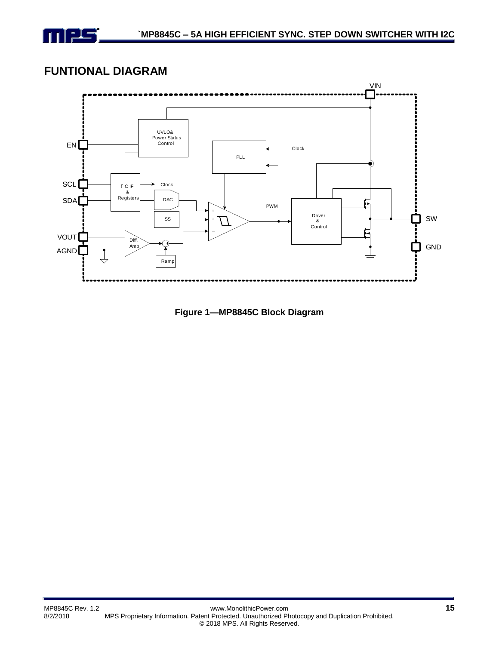

### **FUNTIONAL DIAGRAM**



**Figure 1—MP8845C Block Diagram**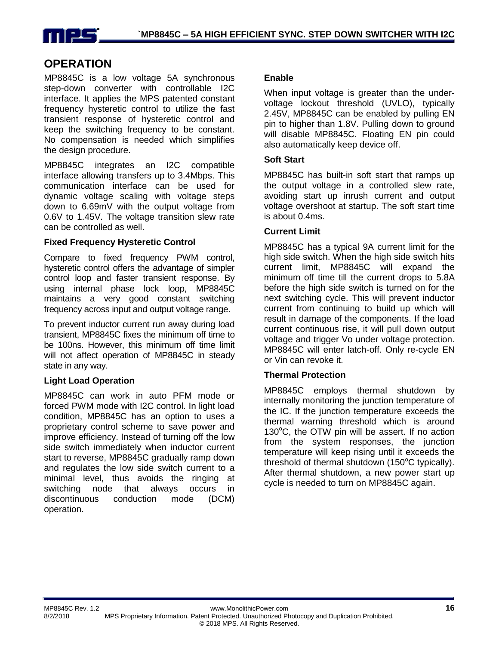

### **OPERATION**

MP8845C is a low voltage 5A synchronous step-down converter with controllable I2C interface. It applies the MPS patented constant frequency hysteretic control to utilize the fast transient response of hysteretic control and keep the switching frequency to be constant. No compensation is needed which simplifies the design procedure.

MP8845C integrates an I2C compatible interface allowing transfers up to 3.4Mbps. This communication interface can be used for dynamic voltage scaling with voltage steps down to 6.69mV with the output voltage from 0.6V to 1.45V. The voltage transition slew rate can be controlled as well.

### **Fixed Frequency Hysteretic Control**

Compare to fixed frequency PWM control, hysteretic control offers the advantage of simpler control loop and faster transient response. By using internal phase lock loop, MP8845C maintains a very good constant switching frequency across input and output voltage range.

To prevent inductor current run away during load transient, MP8845C fixes the minimum off time to be 100ns. However, this minimum off time limit will not affect operation of MP8845C in steady state in any way.

### **Light Load Operation**

MP8845C can work in auto PFM mode or forced PWM mode with I2C control. In light load condition, MP8845C has an option to uses a proprietary control scheme to save power and improve efficiency. Instead of turning off the low side switch immediately when inductor current start to reverse, MP8845C gradually ramp down and regulates the low side switch current to a minimal level, thus avoids the ringing at switching node that always occurs in discontinuous conduction mode (DCM) operation.

#### **Enable**

When input voltage is greater than the undervoltage lockout threshold (UVLO), typically 2.45V, MP8845C can be enabled by pulling EN pin to higher than 1.8V. Pulling down to ground will disable MP8845C. Floating EN pin could also automatically keep device off.

#### **Soft Start**

MP8845C has built-in soft start that ramps up the output voltage in a controlled slew rate, avoiding start up inrush current and output voltage overshoot at startup. The soft start time is about 0.4ms.

#### **Current Limit**

MP8845C has a typical 9A current limit for the high side switch. When the high side switch hits current limit, MP8845C will expand the minimum off time till the current drops to 5.8A before the high side switch is turned on for the next switching cycle. This will prevent inductor current from continuing to build up which will result in damage of the components. If the load current continuous rise, it will pull down output voltage and trigger Vo under voltage protection. MP8845C will enter latch-off. Only re-cycle EN or Vin can revoke it.

### **Thermal Protection**

MP8845C employs thermal shutdown by internally monitoring the junction temperature of the IC. If the junction temperature exceeds the thermal warning threshold which is around  $130^{\circ}$ C, the OTW pin will be assert. If no action from the system responses, the junction temperature will keep rising until it exceeds the threshold of thermal shutdown  $(150^{\circ}C$  typically). After thermal shutdown, a new power start up cycle is needed to turn on MP8845C again.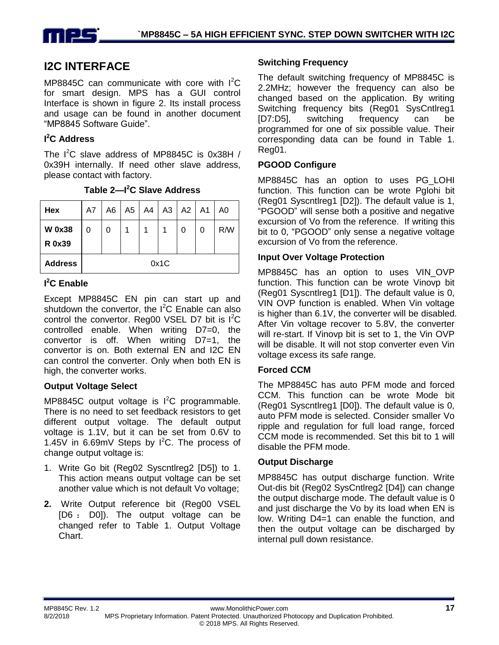

### **I2C INTERFACE**

MP8845C can communicate with core with  $I^2C$ for smart design. MPS has a GUI control Interface is shown in figure 2. Its install process and usage can be found in another document "MP8845 Software Guide".

### **I <sup>2</sup>C Address**

The I<sup>2</sup>C slave address of MP8845C is 0x38H / 0x39H internally. If need other slave address, please contact with factory.

| Hex                            | A7   | A6 | A5 | A4 | $A3$ $A2$ $A1$ |   | A0  |
|--------------------------------|------|----|----|----|----------------|---|-----|
| <b>W</b> 0x38<br><b>R</b> 0x39 | 0    | 0  |    |    | 0              | 0 | R/W |
| <b>Address</b>                 | 0x1C |    |    |    |                |   |     |

**Table 2—I <sup>2</sup>C Slave Address**

### **I <sup>2</sup>C Enable**

Except MP8845C EN pin can start up and shutdown the convertor, the  $I^2C$  Enable can also control the convertor. Reg00 VSEL D7 bit is  $I^2C$ controlled enable. When writing D7=0, the convertor is off. When writing D7=1, the convertor is on. Both external EN and I2C EN can control the converter. Only when both EN is high, the converter works.

### **Output Voltage Select**

MP8845C output voltage is  $I^2C$  programmable. There is no need to set feedback resistors to get different output voltage. The default output voltage is 1.1V, but it can be set from 0.6V to 1.45V in 6.69mV Steps by  $I^2C$ . The process of change output voltage is:

- 1. Write Go bit (Reg02 Syscntlreg2 [D5]) to 1. This action means output voltage can be set another value which is not default Vo voltage;
- **2.** Write Output reference bit (Reg00 VSEL [D6 : D0]). The output voltage can be changed refer to Table 1. Output Voltage Chart.

### **Switching Frequency**

The default switching frequency of MP8845C is 2.2MHz; however the frequency can also be changed based on the application. By writing Switching frequency bits (Reg01 SysCntlreg1 [D7:D5], switching frequency can be programmed for one of six possible value. Their corresponding data can be found in Table 1. Reg01.

### **PGOOD Configure**

MP8845C has an option to uses PG\_LOHI function. This function can be wrote Pglohi bit (Reg01 Syscntlreg1 [D2]). The default value is 1, "PGOOD" will sense both a positive and negative excursion of Vo from the reference. If writing this bit to 0, "PGOOD" only sense a negative voltage excursion of Vo from the reference.

### **Input Over Voltage Protection**

MP8845C has an option to uses VIN\_OVP function. This function can be wrote Vinovp bit (Reg01 Syscntlreg1 [D1]). The default value is 0, VIN OVP function is enabled. When Vin voltage is higher than 6.1V, the converter will be disabled. After Vin voltage recover to 5.8V, the converter will re-start. If Vinovp bit is set to 1, the Vin OVP will be disable. It will not stop converter even Vin voltage excess its safe range.

### **Forced CCM**

The MP8845C has auto PFM mode and forced CCM. This function can be wrote Mode bit (Reg01 Syscntlreg1 [D0]). The default value is 0, auto PFM mode is selected. Consider smaller Vo ripple and regulation for full load range, forced CCM mode is recommended. Set this bit to 1 will disable the PFM mode.

### **Output Discharge**

MP8845C has output discharge function. Write Out-dis bit (Reg02 SysCntlreg2 [D4]) can change the output discharge mode. The default value is 0 and just discharge the Vo by its load when EN is low. Writing D4=1 can enable the function, and then the output voltage can be discharged by internal pull down resistance.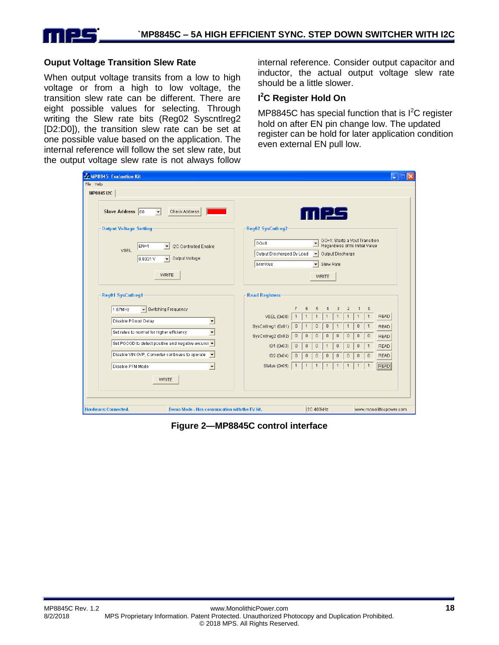

#### **Ouput Voltage Transition Slew Rate**

When output voltage transits from a low to high voltage or from a high to low voltage, the transition slew rate can be different. There are eight possible values for selecting. Through writing the Slew rate bits (Reg02 Syscntlreg2 [D2:D0]), the transition slew rate can be set at one possible value based on the application. The internal reference will follow the set slew rate, but the output voltage slew rate is not always follow internal reference. Consider output capacitor and inductor, the actual output voltage slew rate should be a little slower.

### **I <sup>2</sup>C Register Hold On**

MP8845C has special function that is  $I^2C$  register hold on after EN pin change low. The updated register can be hold for later application condition even external EN pull low.

| MP8845 Evaluation Kit<br>File Help                                                                                                         |                                                                                                                                                                                                                                   |
|--------------------------------------------------------------------------------------------------------------------------------------------|-----------------------------------------------------------------------------------------------------------------------------------------------------------------------------------------------------------------------------------|
| MP884512C                                                                                                                                  |                                                                                                                                                                                                                                   |
| Slave Address 00<br>$\vert \cdot \vert$<br>Check Address                                                                                   | m ss                                                                                                                                                                                                                              |
| <b>Output Voltage Setting</b>                                                                                                              | Reg02 SysCntIreg2                                                                                                                                                                                                                 |
| $EN=1$<br><b>I2C Controlled Enable</b><br>$\overline{\phantom{a}}$<br><b>VSEL</b><br>Output Voltage<br>0.9031 V<br>$\vert$<br><b>WRITE</b> | GO=1: Starts a Vout Transition<br>GO=0<br>$\overline{\phantom{a}}$<br>Regardless of its Initial Value<br>Output Discharged By Load<br>Output Discharge<br>$\vert \mathbf{v} \vert$<br>64mV/us<br>Slew Rate<br>$\vert \cdot \vert$ |
|                                                                                                                                            | <b>WRITE</b>                                                                                                                                                                                                                      |
| Reg01 SysCntIreg1                                                                                                                          | <b>Read Registers</b>                                                                                                                                                                                                             |
| 1.67MHz<br>▼ Switching Frequency<br>Disable PGood Delay<br>$\overline{\phantom{a}}$                                                        | $\overline{7}$<br>$\theta$<br>6<br>5<br>3<br>$\overline{2}$<br>4<br>$\mathbf{1}$<br><b>READ</b><br><b>VSEL (0x00)</b>                                                                                                             |
| Set rates to normal for higher efficiency                                                                                                  | SysCntIreg1 (0x01)<br>0<br>٥<br>0<br><b>READ</b>                                                                                                                                                                                  |
| Set PGOOD to detect positive and negative excursi -                                                                                        | SysCntIreg2 (0x02)<br>0<br>0<br>0<br>0<br>C<br><b>READ</b><br>0<br>ID1 (0x03)<br>$\overline{0}$<br>$\theta$<br><b>READ</b><br>0<br>$\Omega$<br>$\Omega$                                                                           |
| Disable VIN OVP, Converter continues to operate v                                                                                          | ID2 (0x04)<br><b>READ</b><br>$\theta$<br>$\theta$<br>$\theta$<br>0<br>0<br>0<br>0                                                                                                                                                 |
| Disable PFM Mode<br>$\blacktriangledown$                                                                                                   | Status (0x05)<br><b>READ</b><br>$\mathbf{1}$                                                                                                                                                                                      |
| <b>WRITE</b>                                                                                                                               |                                                                                                                                                                                                                                   |
| Hardware: Connected.<br>Demo Mode - Has commucation with the EV kit.                                                                       | <b>I2C 400kHz</b><br>www.monolithicpower.com                                                                                                                                                                                      |

**Figure 2—MP8845C control interface**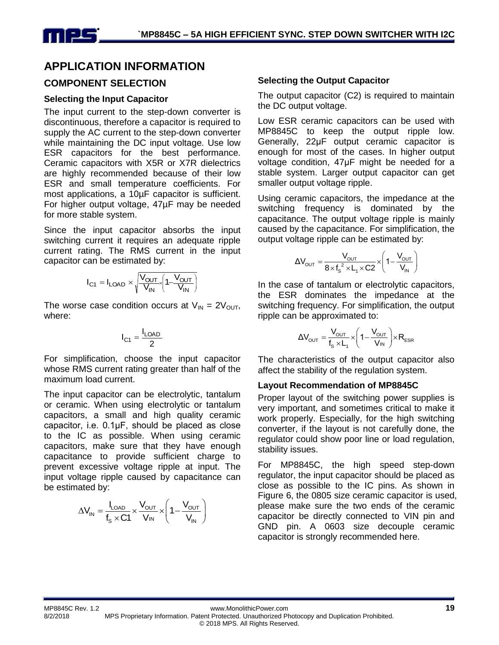

### **APPLICATION INFORMATION**

### **COMPONENT SELECTION**

### **Selecting the Input Capacitor**

The input current to the step-down converter is discontinuous, therefore a capacitor is required to supply the AC current to the step-down converter while maintaining the DC input voltage. Use low ESR capacitors for the best performance. Ceramic capacitors with X5R or X7R dielectrics are highly recommended because of their low ESR and small temperature coefficients. For most applications, a 10µF capacitor is sufficient. For higher output voltage, 47µF may be needed for more stable system.

Since the input capacitor absorbs the input switching current it requires an adequate ripple current rating. The RMS current in the input capacitor can be estimated by:

$$
I_{C1} = I_{LOAD} \times \sqrt{\frac{V_{OUT}}{V_{IN}} \left(1 - \frac{V_{OUT}}{V_{IN}}\right)}
$$

The worse case condition occurs at  $V_{IN} = 2V_{OUT}$ , where:

$$
I_{C1}=\frac{I_{LOAD}}{2}
$$

For simplification, choose the input capacitor whose RMS current rating greater than half of the maximum load current.

The input capacitor can be electrolytic, tantalum or ceramic. When using electrolytic or tantalum capacitors, a small and high quality ceramic capacitor, i.e. 0.1μF, should be placed as close to the IC as possible. When using ceramic capacitors, make sure that they have enough capacitance to provide sufficient charge to prevent excessive voltage ripple at input. The input voltage ripple caused by capacitance can be estimated by:

$$
\Delta V_{IN} = \frac{I_{LOAD}}{f_s \times C1} \times \frac{V_{OUT}}{V_{IN}} \times \left(1 - \frac{V_{OUT}}{V_{IN}}\right)
$$

### **Selecting the Output Capacitor**

The output capacitor (C2) is required to maintain the DC output voltage.

Low ESR ceramic capacitors can be used with MP8845C to keep the output ripple low. Generally, 22μF output ceramic capacitor is enough for most of the cases. In higher output voltage condition, 47μF might be needed for a stable system. Larger output capacitor can get smaller output voltage ripple.

Using ceramic capacitors, the impedance at the switching frequency is dominated by the capacitance. The output voltage ripple is mainly caused by the capacitance. For simplification, the output voltage ripple can be estimated by:

$$
\Delta V_{\text{OUT}} = \frac{V_{\text{OUT}}}{8 \times f_s^2 \times L_1 \times C2} \times \left(1 - \frac{V_{\text{OUT}}}{V_{\text{IN}}}\right)
$$

In the case of tantalum or electrolytic capacitors, the ESR dominates the impedance at the switching frequency. For simplification, the output ripple can be approximated to:

$$
\Delta V_{\text{OUT}} = \frac{V_{\text{OUT}}}{f_s \times L_1} \times \left(1 - \frac{V_{\text{OUT}}}{V_{\text{IN}}}\right) \times R_{\text{ESR}}
$$

The characteristics of the output capacitor also affect the stability of the regulation system.

### **Layout Recommendation of MP8845C**

Proper layout of the switching power supplies is very important, and sometimes critical to make it work properly. Especially, for the high switching converter, if the layout is not carefully done, the regulator could show poor line or load regulation, stability issues.

For MP8845C, the high speed step-down regulator, the input capacitor should be placed as close as possible to the IC pins. As shown in Figure 6, the 0805 size ceramic capacitor is used, please make sure the two ends of the ceramic capacitor be directly connected to VIN pin and GND pin. A 0603 size decouple ceramic capacitor is strongly recommended here.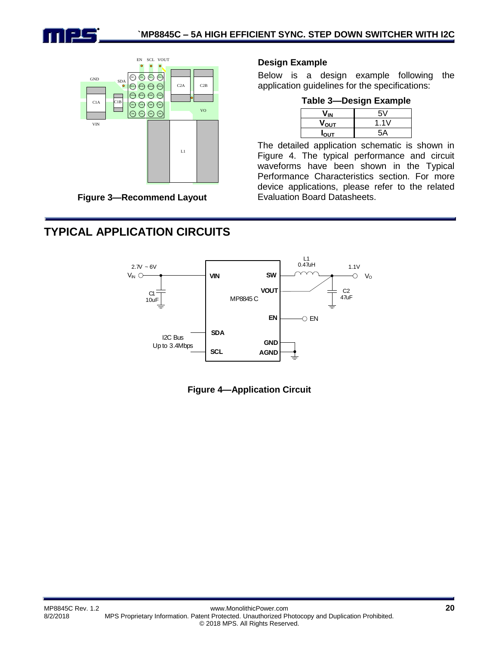



**Figure 3—Recommend Layout**

### **Design Example**

Below is a design example following the application guidelines for the specifications:

#### **Table 3—Design Example**

|                  | __  |
|------------------|-----|
|                  | 5V  |
| Ͷ <sub>ουτ</sub> | .1V |
| Ιουτ             | 5Α  |

The detailed application schematic is shown in Figure 4. The typical performance and circuit waveforms have been shown in the Typical Performance Characteristics section. For more device applications, please refer to the related Evaluation Board Datasheets.

## **TYPICAL APPLICATION CIRCUITS**



**Figure 4—Application Circuit**